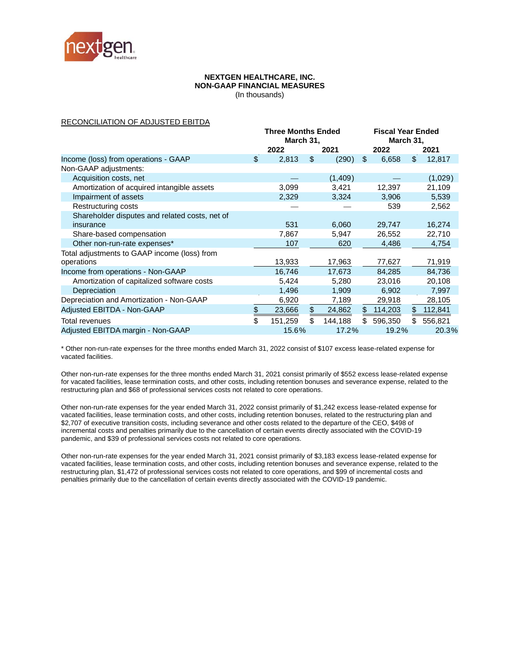

#### **NEXTGEN HEALTHCARE, INC. NON-GAAP FINANCIAL MEASURES**

(In thousands)

### RECONCILIATION OF ADJUSTED EBITDA

|                                                | <b>Three Months Ended</b><br>March 31, |         |     |         | <b>Fiscal Year Ended</b><br>March 31, |         |     |         |
|------------------------------------------------|----------------------------------------|---------|-----|---------|---------------------------------------|---------|-----|---------|
|                                                |                                        | 2022    |     | 2021    |                                       | 2022    |     | 2021    |
| Income (loss) from operations - GAAP           | \$                                     | 2,813   | \$  | (290)   | \$                                    | 6,658   | \$  | 12,817  |
| Non-GAAP adjustments:                          |                                        |         |     |         |                                       |         |     |         |
| Acquisition costs, net                         |                                        |         |     | (1,409) |                                       |         |     | (1,029) |
| Amortization of acquired intangible assets     |                                        | 3,099   |     | 3,421   |                                       | 12,397  |     | 21,109  |
| Impairment of assets                           |                                        | 2,329   |     | 3,324   |                                       | 3,906   |     | 5,539   |
| Restructuring costs                            |                                        |         |     |         |                                       | 539     |     | 2,562   |
| Shareholder disputes and related costs, net of |                                        |         |     |         |                                       |         |     |         |
| insurance                                      |                                        | 531     |     | 6,060   |                                       | 29,747  |     | 16,274  |
| Share-based compensation                       |                                        | 7,867   |     | 5,947   |                                       | 26,552  |     | 22,710  |
| Other non-run-rate expenses*                   |                                        | 107     |     | 620     |                                       | 4,486   |     | 4,754   |
| Total adjustments to GAAP income (loss) from   |                                        |         |     |         |                                       |         |     |         |
| operations                                     |                                        | 13,933  |     | 17,963  |                                       | 77,627  |     | 71,919  |
| Income from operations - Non-GAAP              |                                        | 16,746  |     | 17,673  |                                       | 84,285  |     | 84,736  |
| Amortization of capitalized software costs     |                                        | 5,424   |     | 5,280   |                                       | 23,016  |     | 20,108  |
| Depreciation                                   |                                        | 1,496   |     | 1,909   |                                       | 6,902   |     | 7,997   |
| Depreciation and Amortization - Non-GAAP       |                                        | 6,920   |     | 7,189   |                                       | 29,918  |     | 28,105  |
| Adjusted EBITDA - Non-GAAP                     | \$                                     | 23,666  | \$  | 24,862  | \$                                    | 114,203 | \$  | 112,841 |
| <b>Total revenues</b>                          | \$                                     | 151,259 | \$. | 144,188 | \$.                                   | 596,350 | \$. | 556,821 |
| Adjusted EBITDA margin - Non-GAAP              |                                        | 15.6%   |     | 17.2%   |                                       | 19.2%   |     | 20.3%   |

\* Other non-run-rate expenses for the three months ended March 31, 2022 consist of \$107 excess lease-related expense for vacated facilities.

Other non-run-rate expenses for the three months ended March 31, 2021 consist primarily of \$552 excess lease-related expense for vacated facilities, lease termination costs, and other costs, including retention bonuses and severance expense, related to the restructuring plan and \$68 of professional services costs not related to core operations.

Other non-run-rate expenses for the year ended March 31, 2022 consist primarily of \$1,242 excess lease-related expense for vacated facilities, lease termination costs, and other costs, including retention bonuses, related to the restructuring plan and \$2,707 of executive transition costs, including severance and other costs related to the departure of the CEO, \$498 of incremental costs and penalties primarily due to the cancellation of certain events directly associated with the COVID-19 pandemic, and \$39 of professional services costs not related to core operations.

Other non-run-rate expenses for the year ended March 31, 2021 consist primarily of \$3,183 excess lease-related expense for vacated facilities, lease termination costs, and other costs, including retention bonuses and severance expense, related to the restructuring plan, \$1,472 of professional services costs not related to core operations, and \$99 of incremental costs and penalties primarily due to the cancellation of certain events directly associated with the COVID-19 pandemic.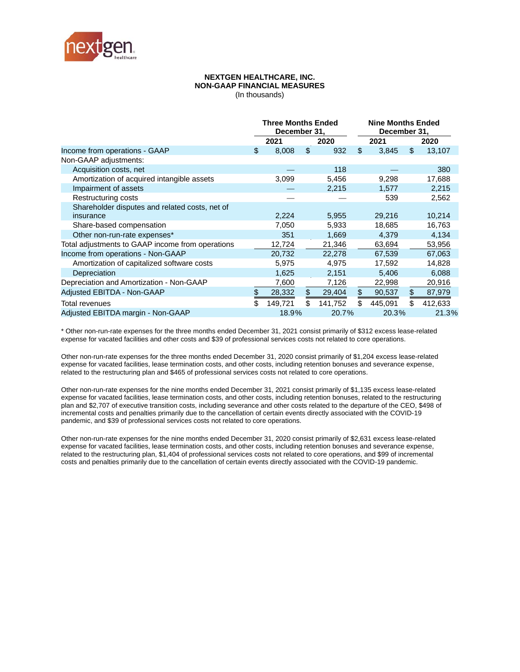

# **NEXTGEN HEALTHCARE, INC. NON-GAAP FINANCIAL MEASURES**

(In thousands)

|                                                  | <b>Three Months Ended</b><br>December 31, |         |    |         | <b>Nine Months Ended</b><br>December 31, |         |                |         |  |
|--------------------------------------------------|-------------------------------------------|---------|----|---------|------------------------------------------|---------|----------------|---------|--|
|                                                  | 2021                                      |         |    | 2020    |                                          | 2021    |                | 2020    |  |
| Income from operations - GAAP                    | \$                                        | 8,008   | \$ | 932     | \$                                       | 3,845   | $\mathfrak{L}$ | 13,107  |  |
| Non-GAAP adjustments:                            |                                           |         |    |         |                                          |         |                |         |  |
| Acquisition costs, net                           |                                           |         |    | 118     |                                          |         |                | 380     |  |
| Amortization of acquired intangible assets       |                                           | 3,099   |    | 5,456   |                                          | 9,298   |                | 17,688  |  |
| Impairment of assets                             |                                           |         |    | 2,215   |                                          | 1,577   |                | 2,215   |  |
| Restructuring costs                              |                                           |         |    |         |                                          | 539     |                | 2,562   |  |
| Shareholder disputes and related costs, net of   |                                           |         |    |         |                                          |         |                |         |  |
| insurance                                        |                                           | 2,224   |    | 5,955   |                                          | 29,216  |                | 10,214  |  |
| Share-based compensation                         |                                           | 7,050   |    | 5,933   |                                          | 18,685  |                | 16,763  |  |
| Other non-run-rate expenses*                     |                                           | 351     |    | 1,669   |                                          | 4,379   |                | 4,134   |  |
| Total adjustments to GAAP income from operations |                                           | 12,724  |    | 21,346  |                                          | 63,694  |                | 53,956  |  |
| Income from operations - Non-GAAP                |                                           | 20,732  |    | 22,278  |                                          | 67,539  |                | 67,063  |  |
| Amortization of capitalized software costs       |                                           | 5,975   |    | 4,975   |                                          | 17,592  |                | 14,828  |  |
| Depreciation                                     |                                           | 1,625   |    | 2,151   |                                          | 5,406   |                | 6,088   |  |
| Depreciation and Amortization - Non-GAAP         |                                           | 7,600   |    | 7,126   |                                          | 22,998  |                | 20,916  |  |
| Adjusted EBITDA - Non-GAAP                       | \$                                        | 28,332  | \$ | 29,404  | \$                                       | 90,537  | \$             | 87,979  |  |
| Total revenues                                   | \$                                        | 149,721 | \$ | 141,752 | \$                                       | 445,091 | \$             | 412,633 |  |
| Adjusted EBITDA margin - Non-GAAP                |                                           | 18.9%   |    | 20.7%   |                                          | 20.3%   |                | 21.3%   |  |

\* Other non-run-rate expenses for the three months ended December 31, 2021 consist primarily of \$312 excess lease-related expense for vacated facilities and other costs and \$39 of professional services costs not related to core operations.

Other non-run-rate expenses for the three months ended December 31, 2020 consist primarily of \$1,204 excess lease-related expense for vacated facilities, lease termination costs, and other costs, including retention bonuses and severance expense, related to the restructuring plan and \$465 of professional services costs not related to core operations.

Other non-run-rate expenses for the nine months ended December 31, 2021 consist primarily of \$1,135 excess lease-related expense for vacated facilities, lease termination costs, and other costs, including retention bonuses, related to the restructuring plan and \$2,707 of executive transition costs, including severance and other costs related to the departure of the CEO, \$498 of incremental costs and penalties primarily due to the cancellation of certain events directly associated with the COVID-19 pandemic, and \$39 of professional services costs not related to core operations.

Other non-run-rate expenses for the nine months ended December 31, 2020 consist primarily of \$2,631 excess lease-related expense for vacated facilities, lease termination costs, and other costs, including retention bonuses and severance expense, related to the restructuring plan, \$1,404 of professional services costs not related to core operations, and \$99 of incremental costs and penalties primarily due to the cancellation of certain events directly associated with the COVID-19 pandemic.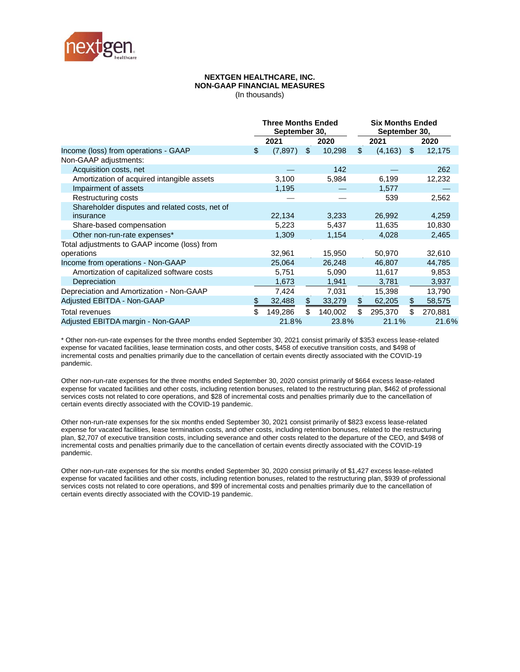

# **NEXTGEN HEALTHCARE, INC. NON-GAAP FINANCIAL MEASURES**

(In thousands)

|                                                | <b>Three Months Ended</b><br>September 30, |          |    |         | <b>Six Months Ended</b><br>September 30, |          |     |         |  |
|------------------------------------------------|--------------------------------------------|----------|----|---------|------------------------------------------|----------|-----|---------|--|
|                                                |                                            | 2021     |    | 2020    |                                          | 2021     |     | 2020    |  |
| Income (loss) from operations - GAAP           | \$                                         | (7, 897) | \$ | 10,298  | $\mathfrak{S}$                           | (4, 163) | \$  | 12,175  |  |
| Non-GAAP adjustments:                          |                                            |          |    |         |                                          |          |     |         |  |
| Acquisition costs, net                         |                                            |          |    | 142     |                                          |          |     | 262     |  |
| Amortization of acquired intangible assets     |                                            | 3,100    |    | 5,984   |                                          | 6,199    |     | 12,232  |  |
| Impairment of assets                           |                                            | 1,195    |    |         |                                          | 1,577    |     |         |  |
| Restructuring costs                            |                                            |          |    |         |                                          | 539      |     | 2,562   |  |
| Shareholder disputes and related costs, net of |                                            |          |    |         |                                          |          |     |         |  |
| insurance                                      |                                            | 22,134   |    | 3,233   |                                          | 26,992   |     | 4,259   |  |
| Share-based compensation                       |                                            | 5,223    |    | 5,437   |                                          | 11,635   |     | 10,830  |  |
| Other non-run-rate expenses*                   |                                            | 1,309    |    | 1,154   |                                          | 4,028    |     | 2,465   |  |
| Total adjustments to GAAP income (loss) from   |                                            |          |    |         |                                          |          |     |         |  |
| operations                                     |                                            | 32,961   |    | 15,950  |                                          | 50,970   |     | 32,610  |  |
| Income from operations - Non-GAAP              |                                            | 25,064   |    | 26,248  |                                          | 46,807   |     | 44,785  |  |
| Amortization of capitalized software costs     |                                            | 5,751    |    | 5,090   |                                          | 11,617   |     | 9,853   |  |
| Depreciation                                   |                                            | 1,673    |    | 1,941   |                                          | 3,781    |     | 3,937   |  |
| Depreciation and Amortization - Non-GAAP       |                                            | 7,424    |    | 7,031   |                                          | 15,398   |     | 13,790  |  |
| Adjusted EBITDA - Non-GAAP                     | \$                                         | 32,488   | \$ | 33,279  | \$                                       | 62,205   | \$  | 58,575  |  |
| Total revenues                                 | \$                                         | 149,286  | \$ | 140,002 | \$                                       | 295,370  | \$. | 270,881 |  |
| Adjusted EBITDA margin - Non-GAAP              |                                            | 21.8%    |    | 23.8%   |                                          | 21.1%    |     | 21.6%   |  |

\* Other non-run-rate expenses for the three months ended September 30, 2021 consist primarily of \$353 excess lease-related expense for vacated facilities, lease termination costs, and other costs, \$458 of executive transition costs, and \$498 of incremental costs and penalties primarily due to the cancellation of certain events directly associated with the COVID-19 pandemic.

Other non-run-rate expenses for the three months ended September 30, 2020 consist primarily of \$664 excess lease-related expense for vacated facilities and other costs, including retention bonuses, related to the restructuring plan, \$462 of professional services costs not related to core operations, and \$28 of incremental costs and penalties primarily due to the cancellation of certain events directly associated with the COVID-19 pandemic.

Other non-run-rate expenses for the six months ended September 30, 2021 consist primarily of \$823 excess lease-related expense for vacated facilities, lease termination costs, and other costs, including retention bonuses, related to the restructuring plan, \$2,707 of executive transition costs, including severance and other costs related to the departure of the CEO, and \$498 of incremental costs and penalties primarily due to the cancellation of certain events directly associated with the COVID-19 pandemic.

Other non-run-rate expenses for the six months ended September 30, 2020 consist primarily of \$1,427 excess lease-related expense for vacated facilities and other costs, including retention bonuses, related to the restructuring plan, \$939 of professional services costs not related to core operations, and \$99 of incremental costs and penalties primarily due to the cancellation of certain events directly associated with the COVID-19 pandemic.